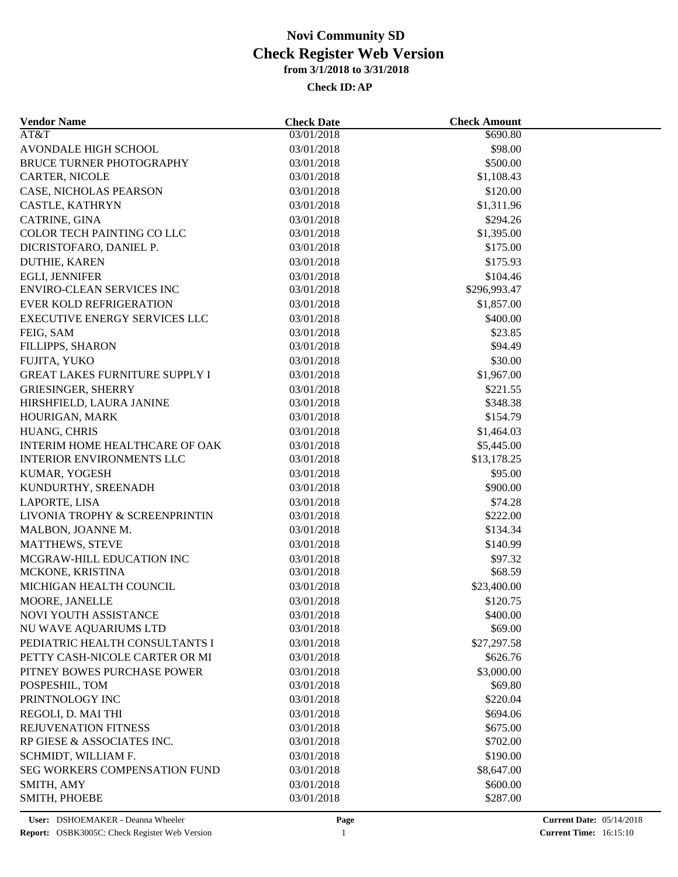| <b>Vendor Name</b>                    | <b>Check Date</b> | <b>Check Amount</b>       |  |
|---------------------------------------|-------------------|---------------------------|--|
| AT&T                                  | 03/01/2018        | \$690.80                  |  |
| AVONDALE HIGH SCHOOL                  | 03/01/2018        | \$98.00                   |  |
| BRUCE TURNER PHOTOGRAPHY              | 03/01/2018        | \$500.00                  |  |
| CARTER, NICOLE                        | 03/01/2018        | \$1,108.43                |  |
| CASE, NICHOLAS PEARSON                | 03/01/2018        | \$120.00                  |  |
| CASTLE, KATHRYN                       | 03/01/2018        | \$1,311.96                |  |
| CATRINE, GINA                         | 03/01/2018        | \$294.26                  |  |
| COLOR TECH PAINTING CO LLC            | 03/01/2018        | \$1,395.00                |  |
| DICRISTOFARO, DANIEL P.               | 03/01/2018        | \$175.00                  |  |
| DUTHIE, KAREN                         | 03/01/2018        | \$175.93                  |  |
| EGLI, JENNIFER                        | 03/01/2018        | \$104.46                  |  |
| ENVIRO-CLEAN SERVICES INC             | 03/01/2018        | \$296,993.47              |  |
| <b>EVER KOLD REFRIGERATION</b>        | 03/01/2018        | \$1,857.00                |  |
| <b>EXECUTIVE ENERGY SERVICES LLC</b>  | 03/01/2018        | \$400.00                  |  |
| FEIG, SAM                             | 03/01/2018        | \$23.85                   |  |
| FILLIPPS, SHARON                      | 03/01/2018        | \$94.49                   |  |
| FUJITA, YUKO                          | 03/01/2018        | \$30.00                   |  |
| <b>GREAT LAKES FURNITURE SUPPLY I</b> | 03/01/2018        | \$1,967.00                |  |
| <b>GRIESINGER, SHERRY</b>             | 03/01/2018        | \$221.55                  |  |
| HIRSHFIELD, LAURA JANINE              | 03/01/2018        | \$348.38                  |  |
| HOURIGAN, MARK                        | 03/01/2018        | \$154.79                  |  |
| HUANG, CHRIS                          | 03/01/2018        | \$1,464.03                |  |
| <b>INTERIM HOME HEALTHCARE OF OAK</b> | 03/01/2018        |                           |  |
| <b>INTERIOR ENVIRONMENTS LLC</b>      | 03/01/2018        | \$5,445.00<br>\$13,178.25 |  |
|                                       |                   | \$95.00                   |  |
| KUMAR, YOGESH                         | 03/01/2018        |                           |  |
| KUNDURTHY, SREENADH                   | 03/01/2018        | \$900.00                  |  |
| LAPORTE, LISA                         | 03/01/2018        | \$74.28                   |  |
| LIVONIA TROPHY & SCREENPRINTIN        | 03/01/2018        | \$222.00                  |  |
| MALBON, JOANNE M.                     | 03/01/2018        | \$134.34                  |  |
| <b>MATTHEWS, STEVE</b>                | 03/01/2018        | \$140.99                  |  |
| MCGRAW-HILL EDUCATION INC             | 03/01/2018        | \$97.32                   |  |
| MCKONE, KRISTINA                      | 03/01/2018        | \$68.59                   |  |
| MICHIGAN HEALTH COUNCIL               | 03/01/2018        | \$23,400.00               |  |
| MOORE, JANELLE                        | 03/01/2018        | \$120.75                  |  |
| NOVI YOUTH ASSISTANCE                 | 03/01/2018        | \$400.00                  |  |
| NU WAVE AQUARIUMS LTD                 | 03/01/2018        | \$69.00                   |  |
| PEDIATRIC HEALTH CONSULTANTS I        | 03/01/2018        | \$27,297.58               |  |
| PETTY CASH-NICOLE CARTER OR MI        | 03/01/2018        | \$626.76                  |  |
| PITNEY BOWES PURCHASE POWER           | 03/01/2018        | \$3,000.00                |  |
| POSPESHIL, TOM                        | 03/01/2018        | \$69.80                   |  |
| PRINTNOLOGY INC                       | 03/01/2018        | \$220.04                  |  |
| REGOLI, D. MAI THI                    | 03/01/2018        | \$694.06                  |  |
| <b>REJUVENATION FITNESS</b>           | 03/01/2018        | \$675.00                  |  |
| RP GIESE & ASSOCIATES INC.            | 03/01/2018        | \$702.00                  |  |
| SCHMIDT, WILLIAM F.                   | 03/01/2018        | \$190.00                  |  |
| <b>SEG WORKERS COMPENSATION FUND</b>  | 03/01/2018        | \$8,647.00                |  |
| SMITH, AMY                            | 03/01/2018        | \$600.00                  |  |
| SMITH, PHOEBE                         | 03/01/2018        | \$287.00                  |  |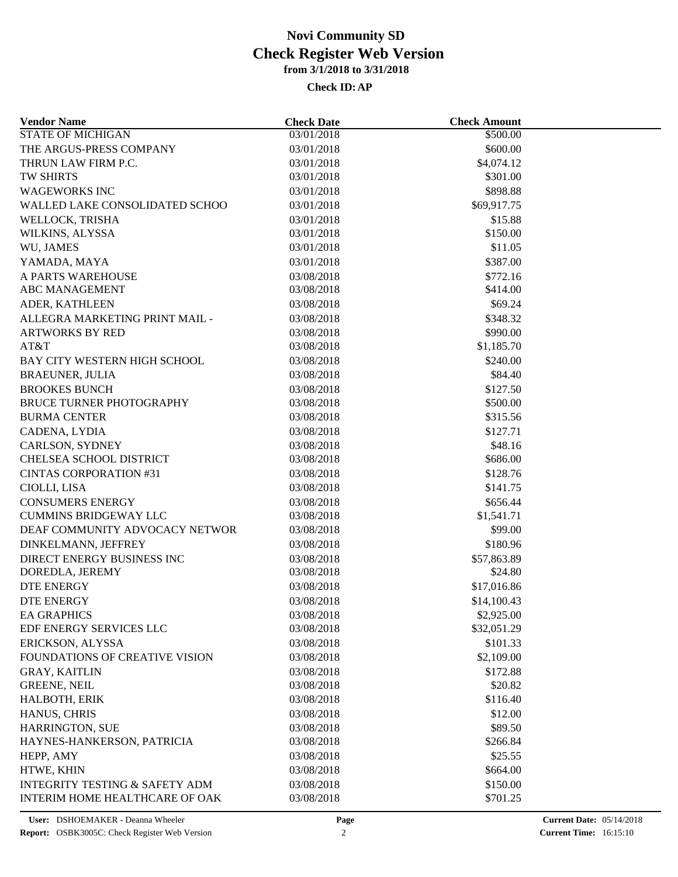| <b>Vendor Name</b>                        | <b>Check Date</b> | <b>Check Amount</b>  |  |
|-------------------------------------------|-------------------|----------------------|--|
| <b>STATE OF MICHIGAN</b>                  | 03/01/2018        | $\overline{$}500.00$ |  |
| THE ARGUS-PRESS COMPANY                   | 03/01/2018        | \$600.00             |  |
| THRUN LAW FIRM P.C.                       | 03/01/2018        | \$4,074.12           |  |
| <b>TW SHIRTS</b>                          | 03/01/2018        | \$301.00             |  |
| <b>WAGEWORKS INC</b>                      | 03/01/2018        | \$898.88             |  |
| WALLED LAKE CONSOLIDATED SCHOO            | 03/01/2018        | \$69,917.75          |  |
| WELLOCK, TRISHA                           | 03/01/2018        | \$15.88              |  |
| WILKINS, ALYSSA                           | 03/01/2018        | \$150.00             |  |
| WU, JAMES                                 | 03/01/2018        | \$11.05              |  |
| YAMADA, MAYA                              | 03/01/2018        | \$387.00             |  |
| A PARTS WAREHOUSE                         | 03/08/2018        | \$772.16             |  |
| <b>ABC MANAGEMENT</b>                     | 03/08/2018        | \$414.00             |  |
| ADER, KATHLEEN                            | 03/08/2018        | \$69.24              |  |
| ALLEGRA MARKETING PRINT MAIL -            | 03/08/2018        | \$348.32             |  |
| <b>ARTWORKS BY RED</b>                    | 03/08/2018        | \$990.00             |  |
| AT&T                                      | 03/08/2018        | \$1,185.70           |  |
| BAY CITY WESTERN HIGH SCHOOL              | 03/08/2018        | \$240.00             |  |
| <b>BRAEUNER, JULIA</b>                    | 03/08/2018        | \$84.40              |  |
| <b>BROOKES BUNCH</b>                      | 03/08/2018        | \$127.50             |  |
| <b>BRUCE TURNER PHOTOGRAPHY</b>           | 03/08/2018        | \$500.00             |  |
| <b>BURMA CENTER</b>                       | 03/08/2018        | \$315.56             |  |
| CADENA, LYDIA                             | 03/08/2018        | \$127.71             |  |
| CARLSON, SYDNEY                           | 03/08/2018        | \$48.16              |  |
| CHELSEA SCHOOL DISTRICT                   | 03/08/2018        | \$686.00             |  |
| <b>CINTAS CORPORATION #31</b>             | 03/08/2018        | \$128.76             |  |
|                                           |                   |                      |  |
| CIOLLI, LISA                              | 03/08/2018        | \$141.75             |  |
| <b>CONSUMERS ENERGY</b>                   | 03/08/2018        | \$656.44             |  |
| <b>CUMMINS BRIDGEWAY LLC</b>              | 03/08/2018        | \$1,541.71           |  |
| DEAF COMMUNITY ADVOCACY NETWOR            | 03/08/2018        | \$99.00              |  |
| DINKELMANN, JEFFREY                       | 03/08/2018        | \$180.96             |  |
| DIRECT ENERGY BUSINESS INC                | 03/08/2018        | \$57,863.89          |  |
| DOREDLA, JEREMY                           | 03/08/2018        | \$24.80              |  |
| DTE ENERGY                                | 03/08/2018        | \$17,016.86          |  |
| <b>DTE ENERGY</b>                         | 03/08/2018        | \$14,100.43          |  |
| <b>EA GRAPHICS</b>                        | 03/08/2018        | \$2,925.00           |  |
| EDF ENERGY SERVICES LLC                   | 03/08/2018        | \$32,051.29          |  |
| ERICKSON, ALYSSA                          | 03/08/2018        | \$101.33             |  |
| FOUNDATIONS OF CREATIVE VISION            | 03/08/2018        | \$2,109.00           |  |
| <b>GRAY, KAITLIN</b>                      | 03/08/2018        | \$172.88             |  |
| <b>GREENE, NEIL</b>                       | 03/08/2018        | \$20.82              |  |
| HALBOTH, ERIK                             | 03/08/2018        | \$116.40             |  |
| HANUS, CHRIS                              | 03/08/2018        | \$12.00              |  |
| <b>HARRINGTON, SUE</b>                    | 03/08/2018        | \$89.50              |  |
| HAYNES-HANKERSON, PATRICIA                | 03/08/2018        | \$266.84             |  |
| HEPP, AMY                                 | 03/08/2018        | \$25.55              |  |
| HTWE, KHIN                                | 03/08/2018        | \$664.00             |  |
| <b>INTEGRITY TESTING &amp; SAFETY ADM</b> | 03/08/2018        | \$150.00             |  |
| INTERIM HOME HEALTHCARE OF OAK            | 03/08/2018        | \$701.25             |  |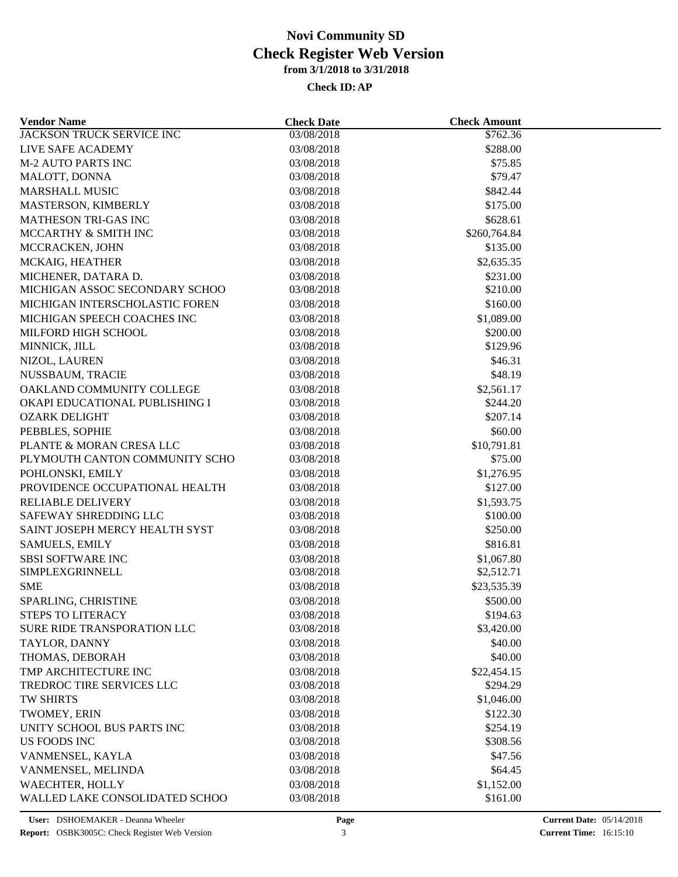| <b>Vendor Name</b>               | <b>Check Date</b> | <b>Check Amount</b>    |  |
|----------------------------------|-------------------|------------------------|--|
| <b>JACKSON TRUCK SERVICE INC</b> | 03/08/2018        | \$762.36               |  |
| LIVE SAFE ACADEMY                | 03/08/2018        | \$288.00               |  |
| <b>M-2 AUTO PARTS INC</b>        | 03/08/2018        | \$75.85                |  |
| MALOTT, DONNA                    | 03/08/2018        | \$79.47                |  |
| <b>MARSHALL MUSIC</b>            | 03/08/2018        | \$842.44               |  |
| MASTERSON, KIMBERLY              | 03/08/2018        | \$175.00               |  |
| MATHESON TRI-GAS INC             | 03/08/2018        | \$628.61               |  |
| MCCARTHY & SMITH INC             | 03/08/2018        | \$260,764.84           |  |
| MCCRACKEN, JOHN                  | 03/08/2018        | \$135.00               |  |
| MCKAIG, HEATHER                  | 03/08/2018        | \$2,635.35             |  |
| MICHENER, DATARA D.              | 03/08/2018        | \$231.00               |  |
| MICHIGAN ASSOC SECONDARY SCHOO   | 03/08/2018        | \$210.00               |  |
| MICHIGAN INTERSCHOLASTIC FOREN   | 03/08/2018        | \$160.00               |  |
| MICHIGAN SPEECH COACHES INC      | 03/08/2018        | \$1,089.00             |  |
| MILFORD HIGH SCHOOL              | 03/08/2018        | \$200.00               |  |
| MINNICK, JILL                    | 03/08/2018        | \$129.96               |  |
| NIZOL, LAUREN                    | 03/08/2018        | \$46.31                |  |
| NUSSBAUM, TRACIE                 | 03/08/2018        | \$48.19                |  |
| OAKLAND COMMUNITY COLLEGE        | 03/08/2018        | \$2,561.17             |  |
| OKAPI EDUCATIONAL PUBLISHING I   | 03/08/2018        | \$244.20               |  |
| <b>OZARK DELIGHT</b>             | 03/08/2018        | \$207.14               |  |
| PEBBLES, SOPHIE                  | 03/08/2018        | \$60.00                |  |
| PLANTE & MORAN CRESA LLC         | 03/08/2018        |                        |  |
| PLYMOUTH CANTON COMMUNITY SCHO   | 03/08/2018        | \$10,791.81<br>\$75.00 |  |
| POHLONSKI, EMILY                 | 03/08/2018        | \$1,276.95             |  |
|                                  |                   |                        |  |
| PROVIDENCE OCCUPATIONAL HEALTH   | 03/08/2018        | \$127.00               |  |
| <b>RELIABLE DELIVERY</b>         | 03/08/2018        | \$1,593.75             |  |
| SAFEWAY SHREDDING LLC            | 03/08/2018        | \$100.00               |  |
| SAINT JOSEPH MERCY HEALTH SYST   | 03/08/2018        | \$250.00               |  |
| <b>SAMUELS, EMILY</b>            | 03/08/2018        | \$816.81               |  |
| <b>SBSI SOFTWARE INC</b>         | 03/08/2018        | \$1,067.80             |  |
| SIMPLEXGRINNELL                  | 03/08/2018        | \$2,512.71             |  |
| <b>SME</b>                       | 03/08/2018        | \$23,535.39            |  |
| SPARLING, CHRISTINE              | 03/08/2018        | \$500.00               |  |
| <b>STEPS TO LITERACY</b>         | 03/08/2018        | \$194.63               |  |
| SURE RIDE TRANSPORATION LLC      | 03/08/2018        | \$3,420.00             |  |
| TAYLOR, DANNY                    | 03/08/2018        | \$40.00                |  |
| THOMAS, DEBORAH                  | 03/08/2018        | \$40.00                |  |
| TMP ARCHITECTURE INC             | 03/08/2018        | \$22,454.15            |  |
| TREDROC TIRE SERVICES LLC        | 03/08/2018        | \$294.29               |  |
| TW SHIRTS                        | 03/08/2018        | \$1,046.00             |  |
| TWOMEY, ERIN                     | 03/08/2018        | \$122.30               |  |
| UNITY SCHOOL BUS PARTS INC       | 03/08/2018        | \$254.19               |  |
| US FOODS INC                     | 03/08/2018        | \$308.56               |  |
| VANMENSEL, KAYLA                 | 03/08/2018        | \$47.56                |  |
| VANMENSEL, MELINDA               | 03/08/2018        | \$64.45                |  |
| <b>WAECHTER, HOLLY</b>           | 03/08/2018        | \$1,152.00             |  |
| WALLED LAKE CONSOLIDATED SCHOO   | 03/08/2018        | \$161.00               |  |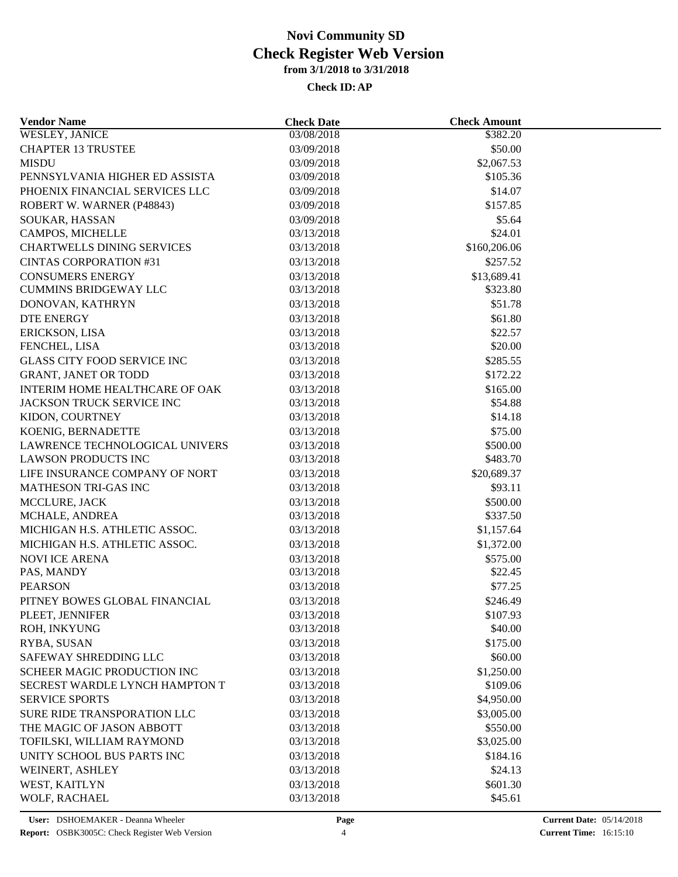| <b>Vendor Name</b>                              | <b>Check Date</b>        | <b>Check Amount</b>  |  |
|-------------------------------------------------|--------------------------|----------------------|--|
| <b>WESLEY, JANICE</b>                           | 03/08/2018               | 382.20               |  |
| <b>CHAPTER 13 TRUSTEE</b>                       | 03/09/2018               | \$50.00              |  |
| <b>MISDU</b>                                    | 03/09/2018               | \$2,067.53           |  |
| PENNSYLVANIA HIGHER ED ASSISTA                  | 03/09/2018               | \$105.36             |  |
| PHOENIX FINANCIAL SERVICES LLC                  | 03/09/2018               | \$14.07              |  |
| ROBERT W. WARNER (P48843)                       | 03/09/2018               | \$157.85             |  |
| SOUKAR, HASSAN                                  | 03/09/2018               | \$5.64               |  |
| CAMPOS, MICHELLE                                | 03/13/2018               | \$24.01              |  |
| <b>CHARTWELLS DINING SERVICES</b>               | 03/13/2018               | \$160,206.06         |  |
| <b>CINTAS CORPORATION #31</b>                   | 03/13/2018               | \$257.52             |  |
| <b>CONSUMERS ENERGY</b>                         | 03/13/2018               | \$13,689.41          |  |
| <b>CUMMINS BRIDGEWAY LLC</b>                    | 03/13/2018               | \$323.80             |  |
| DONOVAN, KATHRYN                                | 03/13/2018               | \$51.78              |  |
| <b>DTE ENERGY</b>                               | 03/13/2018               | \$61.80              |  |
| ERICKSON, LISA                                  | 03/13/2018               | \$22.57              |  |
| FENCHEL, LISA                                   | 03/13/2018               | \$20.00              |  |
| <b>GLASS CITY FOOD SERVICE INC</b>              | 03/13/2018               | \$285.55             |  |
| <b>GRANT, JANET OR TODD</b>                     | 03/13/2018               | \$172.22             |  |
| INTERIM HOME HEALTHCARE OF OAK                  | 03/13/2018               | \$165.00             |  |
| JACKSON TRUCK SERVICE INC                       | 03/13/2018               | \$54.88              |  |
| KIDON, COURTNEY                                 | 03/13/2018               | \$14.18              |  |
| KOENIG, BERNADETTE                              | 03/13/2018               | \$75.00              |  |
| LAWRENCE TECHNOLOGICAL UNIVERS                  | 03/13/2018               | \$500.00             |  |
| <b>LAWSON PRODUCTS INC</b>                      | 03/13/2018               | \$483.70             |  |
| LIFE INSURANCE COMPANY OF NORT                  | 03/13/2018               | \$20,689.37          |  |
| MATHESON TRI-GAS INC                            | 03/13/2018               | \$93.11              |  |
|                                                 |                          |                      |  |
| MCCLURE, JACK                                   | 03/13/2018<br>03/13/2018 | \$500.00<br>\$337.50 |  |
| MCHALE, ANDREA<br>MICHIGAN H.S. ATHLETIC ASSOC. |                          |                      |  |
|                                                 | 03/13/2018               | \$1,157.64           |  |
| MICHIGAN H.S. ATHLETIC ASSOC.                   | 03/13/2018               | \$1,372.00           |  |
| <b>NOVI ICE ARENA</b>                           | 03/13/2018               | \$575.00             |  |
| PAS, MANDY                                      | 03/13/2018               | \$22.45              |  |
| <b>PEARSON</b>                                  | 03/13/2018               | \$77.25              |  |
| PITNEY BOWES GLOBAL FINANCIAL                   | 03/13/2018               | \$246.49             |  |
| PLEET, JENNIFER                                 | 03/13/2018               | \$107.93             |  |
| ROH, INKYUNG                                    | 03/13/2018               | \$40.00              |  |
| RYBA, SUSAN                                     | 03/13/2018               | \$175.00             |  |
| SAFEWAY SHREDDING LLC                           | 03/13/2018               | \$60.00              |  |
| SCHEER MAGIC PRODUCTION INC                     | 03/13/2018               | \$1,250.00           |  |
| SECREST WARDLE LYNCH HAMPTON T                  | 03/13/2018               | \$109.06             |  |
| <b>SERVICE SPORTS</b>                           | 03/13/2018               | \$4,950.00           |  |
| SURE RIDE TRANSPORATION LLC                     | 03/13/2018               | \$3,005.00           |  |
| THE MAGIC OF JASON ABBOTT                       | 03/13/2018               | \$550.00             |  |
| TOFILSKI, WILLIAM RAYMOND                       | 03/13/2018               | \$3,025.00           |  |
| UNITY SCHOOL BUS PARTS INC                      | 03/13/2018               | \$184.16             |  |
| WEINERT, ASHLEY                                 | 03/13/2018               | \$24.13              |  |
| WEST, KAITLYN                                   | 03/13/2018               | \$601.30             |  |
| WOLF, RACHAEL                                   | 03/13/2018               | \$45.61              |  |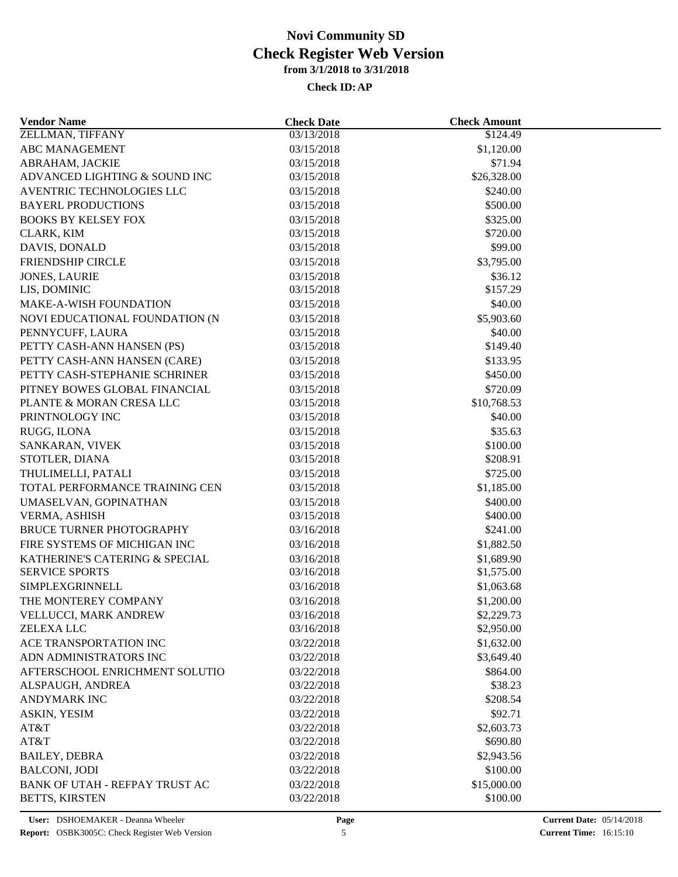| <b>Vendor Name</b>                               | <b>Check Date</b>        | <b>Check Amount</b>     |  |
|--------------------------------------------------|--------------------------|-------------------------|--|
| ZELLMAN, TIFFANY                                 | 03/13/2018               | \$124.49                |  |
| <b>ABC MANAGEMENT</b>                            | 03/15/2018               | \$1,120.00              |  |
| ABRAHAM, JACKIE                                  | 03/15/2018               | \$71.94                 |  |
| ADVANCED LIGHTING & SOUND INC                    | 03/15/2018               | \$26,328.00             |  |
| AVENTRIC TECHNOLOGIES LLC                        | 03/15/2018               | \$240.00                |  |
| <b>BAYERL PRODUCTIONS</b>                        | 03/15/2018               | \$500.00                |  |
| <b>BOOKS BY KELSEY FOX</b>                       | 03/15/2018               | \$325.00                |  |
| CLARK, KIM                                       | 03/15/2018               | \$720.00                |  |
| DAVIS, DONALD                                    | 03/15/2018               | \$99.00                 |  |
| FRIENDSHIP CIRCLE                                | 03/15/2018               | \$3,795.00              |  |
| <b>JONES, LAURIE</b>                             | 03/15/2018               | \$36.12                 |  |
| LIS, DOMINIC                                     | 03/15/2018               | \$157.29                |  |
| <b>MAKE-A-WISH FOUNDATION</b>                    | 03/15/2018               | \$40.00                 |  |
| NOVI EDUCATIONAL FOUNDATION (N                   | 03/15/2018               | \$5,903.60              |  |
| PENNYCUFF, LAURA                                 | 03/15/2018               | \$40.00                 |  |
| PETTY CASH-ANN HANSEN (PS)                       | 03/15/2018               | \$149.40                |  |
| PETTY CASH-ANN HANSEN (CARE)                     | 03/15/2018               | \$133.95                |  |
| PETTY CASH-STEPHANIE SCHRINER                    | 03/15/2018               | \$450.00                |  |
| PITNEY BOWES GLOBAL FINANCIAL                    | 03/15/2018               | \$720.09                |  |
| PLANTE & MORAN CRESA LLC                         | 03/15/2018               | \$10,768.53             |  |
| PRINTNOLOGY INC                                  | 03/15/2018               | \$40.00                 |  |
| RUGG, ILONA                                      | 03/15/2018               | \$35.63                 |  |
| SANKARAN, VIVEK                                  | 03/15/2018               | \$100.00                |  |
| STOTLER, DIANA                                   | 03/15/2018               | \$208.91                |  |
| THULIMELLI, PATALI                               | 03/15/2018               | \$725.00                |  |
| TOTAL PERFORMANCE TRAINING CEN                   | 03/15/2018               | \$1,185.00              |  |
| UMASELVAN, GOPINATHAN                            | 03/15/2018               | \$400.00                |  |
| VERMA, ASHISH                                    | 03/15/2018               | \$400.00                |  |
| <b>BRUCE TURNER PHOTOGRAPHY</b>                  | 03/16/2018               | \$241.00                |  |
| FIRE SYSTEMS OF MICHIGAN INC                     | 03/16/2018               | \$1,882.50              |  |
| KATHERINE'S CATERING & SPECIAL                   | 03/16/2018               | \$1,689.90              |  |
| <b>SERVICE SPORTS</b>                            | 03/16/2018               | \$1,575.00              |  |
| SIMPLEXGRINNELL                                  | 03/16/2018               | \$1,063.68              |  |
| THE MONTEREY COMPANY                             | 03/16/2018               | \$1,200.00              |  |
| VELLUCCI, MARK ANDREW                            | 03/16/2018               | \$2,229.73              |  |
| ZELEXA LLC                                       | 03/16/2018               | \$2,950.00              |  |
| ACE TRANSPORTATION INC                           | 03/22/2018               | \$1,632.00              |  |
| ADN ADMINISTRATORS INC                           | 03/22/2018               | \$3,649.40              |  |
| AFTERSCHOOL ENRICHMENT SOLUTIO                   | 03/22/2018               | \$864.00                |  |
| ALSPAUGH, ANDREA                                 | 03/22/2018               | \$38.23                 |  |
| <b>ANDYMARK INC</b>                              | 03/22/2018               | \$208.54                |  |
| ASKIN, YESIM                                     | 03/22/2018               | \$92.71                 |  |
| AT&T                                             | 03/22/2018               | \$2,603.73              |  |
| AT&T                                             | 03/22/2018               | \$690.80                |  |
| <b>BAILEY, DEBRA</b>                             | 03/22/2018               | \$2,943.56              |  |
| <b>BALCONI, JODI</b>                             |                          |                         |  |
|                                                  | 03/22/2018               | \$100.00                |  |
| BANK OF UTAH - REFPAY TRUST AC<br>BETTS, KIRSTEN | 03/22/2018<br>03/22/2018 | \$15,000.00<br>\$100.00 |  |
|                                                  |                          |                         |  |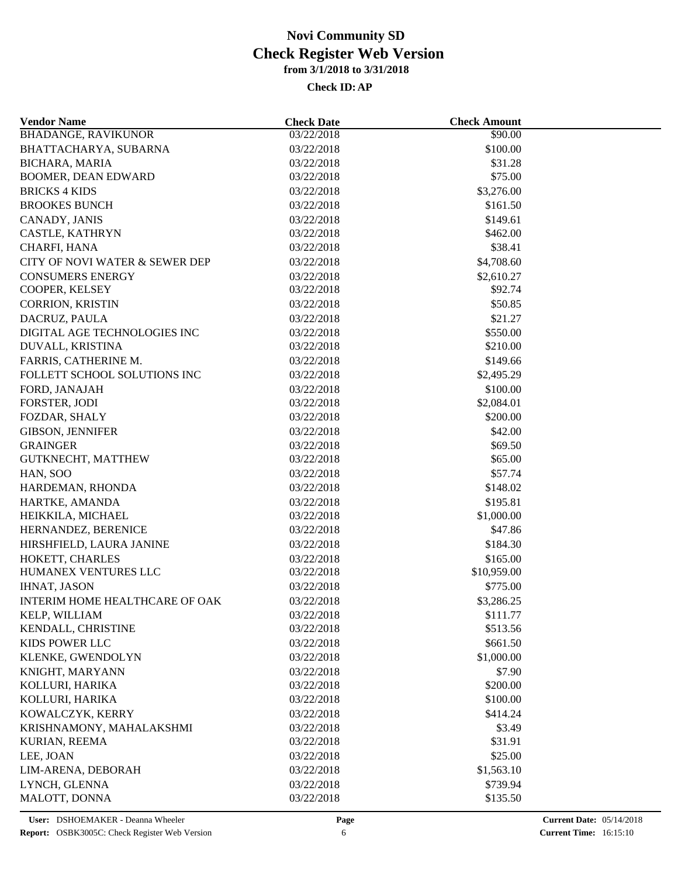| <b>Vendor Name</b>             | <b>Check Date</b>        | <b>Check Amount</b> |  |
|--------------------------------|--------------------------|---------------------|--|
| <b>BHADANGE, RAVIKUNOR</b>     | 03/22/2018               | \$90.00             |  |
| BHATTACHARYA, SUBARNA          | 03/22/2018               | \$100.00            |  |
| <b>BICHARA, MARIA</b>          | 03/22/2018               | \$31.28             |  |
| <b>BOOMER, DEAN EDWARD</b>     | 03/22/2018               | \$75.00             |  |
| <b>BRICKS 4 KIDS</b>           | 03/22/2018               | \$3,276.00          |  |
| <b>BROOKES BUNCH</b>           | 03/22/2018               | \$161.50            |  |
| CANADY, JANIS                  | 03/22/2018               | \$149.61            |  |
| CASTLE, KATHRYN                | 03/22/2018               | \$462.00            |  |
| CHARFI, HANA                   | 03/22/2018               | \$38.41             |  |
| CITY OF NOVI WATER & SEWER DEP | 03/22/2018               | \$4,708.60          |  |
| <b>CONSUMERS ENERGY</b>        | 03/22/2018               | \$2,610.27          |  |
| COOPER, KELSEY                 | 03/22/2018               | \$92.74             |  |
| CORRION, KRISTIN               | 03/22/2018               | \$50.85             |  |
| DACRUZ, PAULA                  | 03/22/2018               | \$21.27             |  |
| DIGITAL AGE TECHNOLOGIES INC   | 03/22/2018               | \$550.00            |  |
| DUVALL, KRISTINA               | 03/22/2018               | \$210.00            |  |
| FARRIS, CATHERINE M.           | 03/22/2018               | \$149.66            |  |
| FOLLETT SCHOOL SOLUTIONS INC   | 03/22/2018               | \$2,495.29          |  |
| FORD, JANAJAH                  | 03/22/2018               | \$100.00            |  |
| FORSTER, JODI                  | 03/22/2018               | \$2,084.01          |  |
| FOZDAR, SHALY                  | 03/22/2018               | \$200.00            |  |
|                                |                          |                     |  |
| <b>GIBSON, JENNIFER</b>        | 03/22/2018               | \$42.00             |  |
| <b>GRAINGER</b>                | 03/22/2018<br>03/22/2018 | \$69.50<br>\$65.00  |  |
| GUTKNECHT, MATTHEW             |                          |                     |  |
| HAN, SOO                       | 03/22/2018               | \$57.74             |  |
| HARDEMAN, RHONDA               | 03/22/2018               | \$148.02            |  |
| HARTKE, AMANDA                 | 03/22/2018               | \$195.81            |  |
| HEIKKILA, MICHAEL              | 03/22/2018               | \$1,000.00          |  |
| HERNANDEZ, BERENICE            | 03/22/2018               | \$47.86             |  |
| HIRSHFIELD, LAURA JANINE       | 03/22/2018               | \$184.30            |  |
| HOKETT, CHARLES                | 03/22/2018               | \$165.00            |  |
| HUMANEX VENTURES LLC           | 03/22/2018               | \$10,959.00         |  |
| <b>IHNAT, JASON</b>            | 03/22/2018               | \$775.00            |  |
| INTERIM HOME HEALTHCARE OF OAK | 03/22/2018               | \$3,286.25          |  |
| KELP, WILLIAM                  | 03/22/2018               | \$111.77            |  |
| KENDALL, CHRISTINE             | 03/22/2018               | \$513.56            |  |
| KIDS POWER LLC                 | 03/22/2018               | \$661.50            |  |
| KLENKE, GWENDOLYN              | 03/22/2018               | \$1,000.00          |  |
| KNIGHT, MARYANN                | 03/22/2018               | \$7.90              |  |
| KOLLURI, HARIKA                | 03/22/2018               | \$200.00            |  |
| KOLLURI, HARIKA                | 03/22/2018               | \$100.00            |  |
| KOWALCZYK, KERRY               | 03/22/2018               | \$414.24            |  |
| KRISHNAMONY, MAHALAKSHMI       | 03/22/2018               | \$3.49              |  |
| KURIAN, REEMA                  | 03/22/2018               | \$31.91             |  |
| LEE, JOAN                      | 03/22/2018               | \$25.00             |  |
| LIM-ARENA, DEBORAH             | 03/22/2018               | \$1,563.10          |  |
| LYNCH, GLENNA                  | 03/22/2018               | \$739.94            |  |
| MALOTT, DONNA                  | 03/22/2018               | \$135.50            |  |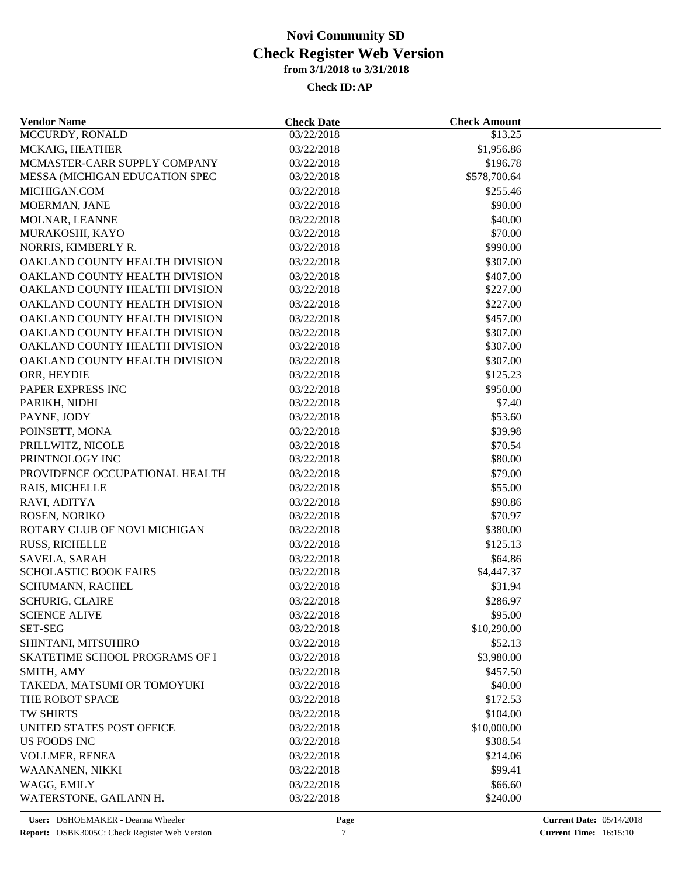| <b>Vendor Name</b>             | <b>Check Date</b> | <b>Check Amount</b> |  |
|--------------------------------|-------------------|---------------------|--|
| MCCURDY, RONALD                | 03/22/2018        | \$13.25             |  |
| MCKAIG, HEATHER                | 03/22/2018        | \$1,956.86          |  |
| MCMASTER-CARR SUPPLY COMPANY   | 03/22/2018        | \$196.78            |  |
| MESSA (MICHIGAN EDUCATION SPEC | 03/22/2018        | \$578,700.64        |  |
| MICHIGAN.COM                   | 03/22/2018        | \$255.46            |  |
| MOERMAN, JANE                  | 03/22/2018        | \$90.00             |  |
| MOLNAR, LEANNE                 | 03/22/2018        | \$40.00             |  |
| MURAKOSHI, KAYO                | 03/22/2018        | \$70.00             |  |
| NORRIS, KIMBERLY R.            | 03/22/2018        | \$990.00            |  |
| OAKLAND COUNTY HEALTH DIVISION | 03/22/2018        | \$307.00            |  |
| OAKLAND COUNTY HEALTH DIVISION | 03/22/2018        | \$407.00            |  |
| OAKLAND COUNTY HEALTH DIVISION | 03/22/2018        | \$227.00            |  |
| OAKLAND COUNTY HEALTH DIVISION | 03/22/2018        | \$227.00            |  |
| OAKLAND COUNTY HEALTH DIVISION | 03/22/2018        | \$457.00            |  |
| OAKLAND COUNTY HEALTH DIVISION | 03/22/2018        | \$307.00            |  |
| OAKLAND COUNTY HEALTH DIVISION | 03/22/2018        | \$307.00            |  |
| OAKLAND COUNTY HEALTH DIVISION | 03/22/2018        | \$307.00            |  |
| ORR, HEYDIE                    | 03/22/2018        | \$125.23            |  |
| PAPER EXPRESS INC              | 03/22/2018        | \$950.00            |  |
| PARIKH, NIDHI                  | 03/22/2018        | \$7.40              |  |
| PAYNE, JODY                    | 03/22/2018        | \$53.60             |  |
| POINSETT, MONA                 | 03/22/2018        | \$39.98             |  |
| PRILLWITZ, NICOLE              | 03/22/2018        | \$70.54             |  |
| PRINTNOLOGY INC                | 03/22/2018        | \$80.00             |  |
| PROVIDENCE OCCUPATIONAL HEALTH | 03/22/2018        | \$79.00             |  |
|                                |                   | \$55.00             |  |
| RAIS, MICHELLE                 | 03/22/2018        |                     |  |
| RAVI, ADITYA                   | 03/22/2018        | \$90.86             |  |
| ROSEN, NORIKO                  | 03/22/2018        | \$70.97             |  |
| ROTARY CLUB OF NOVI MICHIGAN   | 03/22/2018        | \$380.00            |  |
| <b>RUSS, RICHELLE</b>          | 03/22/2018        | \$125.13            |  |
| SAVELA, SARAH                  | 03/22/2018        | \$64.86             |  |
| <b>SCHOLASTIC BOOK FAIRS</b>   | 03/22/2018        | \$4,447.37          |  |
| SCHUMANN, RACHEL               | 03/22/2018        | \$31.94             |  |
| <b>SCHURIG, CLAIRE</b>         | 03/22/2018        | \$286.97            |  |
| <b>SCIENCE ALIVE</b>           | 03/22/2018        | \$95.00             |  |
| <b>SET-SEG</b>                 | 03/22/2018        | \$10,290.00         |  |
| SHINTANI, MITSUHIRO            | 03/22/2018        | \$52.13             |  |
| SKATETIME SCHOOL PROGRAMS OF I | 03/22/2018        | \$3,980.00          |  |
| SMITH, AMY                     | 03/22/2018        | \$457.50            |  |
| TAKEDA, MATSUMI OR TOMOYUKI    | 03/22/2018        | \$40.00             |  |
| THE ROBOT SPACE                | 03/22/2018        | \$172.53            |  |
| <b>TW SHIRTS</b>               | 03/22/2018        | \$104.00            |  |
| UNITED STATES POST OFFICE      | 03/22/2018        | \$10,000.00         |  |
| US FOODS INC                   | 03/22/2018        | \$308.54            |  |
| VOLLMER, RENEA                 | 03/22/2018        | \$214.06            |  |
| WAANANEN, NIKKI                | 03/22/2018        | \$99.41             |  |
| WAGG, EMILY                    | 03/22/2018        | \$66.60             |  |
| WATERSTONE, GAILANN H.         | 03/22/2018        | \$240.00            |  |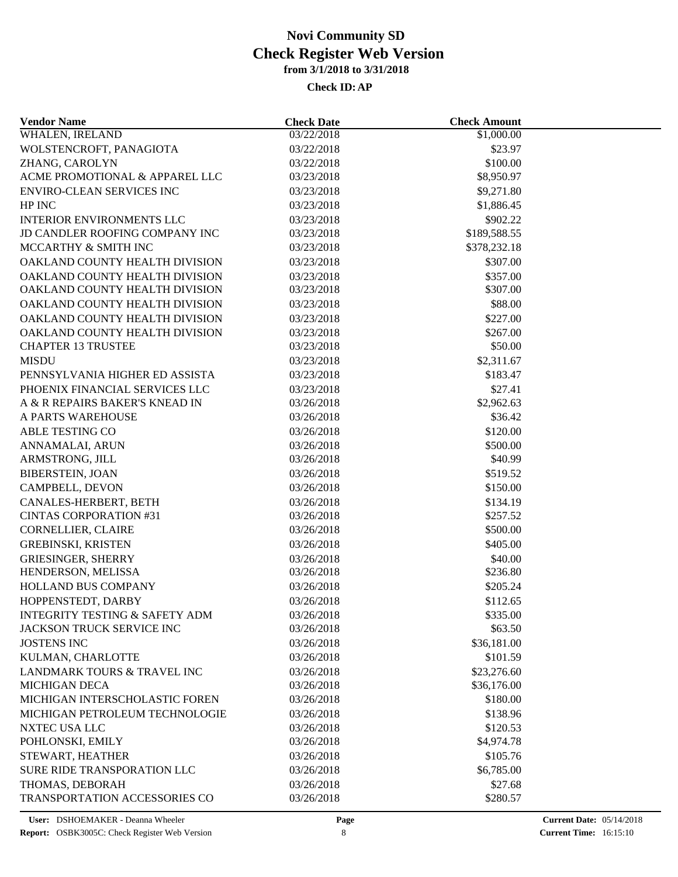| <b>Vendor Name</b>                        | <b>Check Date</b>        | <b>Check Amount</b>        |  |
|-------------------------------------------|--------------------------|----------------------------|--|
| WHALEN, IRELAND                           | 03/22/2018               | $\overline{$1,000.00}$     |  |
| WOLSTENCROFT, PANAGIOTA                   | 03/22/2018               | \$23.97                    |  |
| ZHANG, CAROLYN                            | 03/22/2018               | \$100.00                   |  |
| ACME PROMOTIONAL & APPAREL LLC            | 03/23/2018               | \$8,950.97                 |  |
| <b>ENVIRO-CLEAN SERVICES INC</b>          | 03/23/2018               | \$9,271.80                 |  |
| HP INC                                    | 03/23/2018               | \$1,886.45                 |  |
| <b>INTERIOR ENVIRONMENTS LLC</b>          | 03/23/2018               | \$902.22                   |  |
| JD CANDLER ROOFING COMPANY INC            | 03/23/2018               | \$189,588.55               |  |
| MCCARTHY & SMITH INC                      | 03/23/2018               | \$378,232.18               |  |
| OAKLAND COUNTY HEALTH DIVISION            | 03/23/2018               | \$307.00                   |  |
| OAKLAND COUNTY HEALTH DIVISION            | 03/23/2018               | \$357.00                   |  |
| OAKLAND COUNTY HEALTH DIVISION            | 03/23/2018               | \$307.00                   |  |
| OAKLAND COUNTY HEALTH DIVISION            | 03/23/2018               | \$88.00                    |  |
| OAKLAND COUNTY HEALTH DIVISION            | 03/23/2018               | \$227.00                   |  |
| OAKLAND COUNTY HEALTH DIVISION            | 03/23/2018               | \$267.00                   |  |
| <b>CHAPTER 13 TRUSTEE</b>                 | 03/23/2018               | \$50.00                    |  |
| <b>MISDU</b>                              | 03/23/2018               | \$2,311.67                 |  |
| PENNSYLVANIA HIGHER ED ASSISTA            | 03/23/2018               | \$183.47                   |  |
| PHOENIX FINANCIAL SERVICES LLC            | 03/23/2018               | \$27.41                    |  |
| A & R REPAIRS BAKER'S KNEAD IN            | 03/26/2018               | \$2,962.63                 |  |
| A PARTS WAREHOUSE                         | 03/26/2018               | \$36.42                    |  |
| <b>ABLE TESTING CO</b>                    | 03/26/2018               | \$120.00                   |  |
| ANNAMALAI, ARUN                           | 03/26/2018               | \$500.00                   |  |
| ARMSTRONG, JILL                           | 03/26/2018               | \$40.99                    |  |
| <b>BIBERSTEIN, JOAN</b>                   | 03/26/2018               | \$519.52                   |  |
| CAMPBELL, DEVON                           | 03/26/2018               | \$150.00                   |  |
| CANALES-HERBERT, BETH                     | 03/26/2018               | \$134.19                   |  |
| <b>CINTAS CORPORATION #31</b>             | 03/26/2018               | \$257.52                   |  |
| <b>CORNELLIER, CLAIRE</b>                 | 03/26/2018               | \$500.00                   |  |
| <b>GREBINSKI, KRISTEN</b>                 | 03/26/2018               | \$405.00                   |  |
| <b>GRIESINGER, SHERRY</b>                 | 03/26/2018               | \$40.00                    |  |
| HENDERSON, MELISSA                        | 03/26/2018               | \$236.80                   |  |
| HOLLAND BUS COMPANY                       | 03/26/2018               | \$205.24                   |  |
| HOPPENSTEDT, DARBY                        | 03/26/2018               | \$112.65                   |  |
| <b>INTEGRITY TESTING &amp; SAFETY ADM</b> | 03/26/2018               | \$335.00                   |  |
| JACKSON TRUCK SERVICE INC                 | 03/26/2018               | \$63.50                    |  |
| <b>JOSTENS INC</b>                        | 03/26/2018               | \$36,181.00                |  |
| KULMAN, CHARLOTTE                         | 03/26/2018               | \$101.59                   |  |
| LANDMARK TOURS & TRAVEL INC               |                          |                            |  |
| <b>MICHIGAN DECA</b>                      | 03/26/2018<br>03/26/2018 | \$23,276.60<br>\$36,176.00 |  |
| MICHIGAN INTERSCHOLASTIC FOREN            | 03/26/2018               | \$180.00                   |  |
|                                           |                          | \$138.96                   |  |
| MICHIGAN PETROLEUM TECHNOLOGIE            | 03/26/2018               |                            |  |
| NXTEC USA LLC                             | 03/26/2018               | \$120.53                   |  |
| POHLONSKI, EMILY                          | 03/26/2018               | \$4,974.78                 |  |
| STEWART, HEATHER                          | 03/26/2018               | \$105.76                   |  |
| SURE RIDE TRANSPORATION LLC               | 03/26/2018               | \$6,785.00                 |  |
| THOMAS, DEBORAH                           | 03/26/2018               | \$27.68                    |  |
| <b>TRANSPORTATION ACCESSORIES CO</b>      | 03/26/2018               | \$280.57                   |  |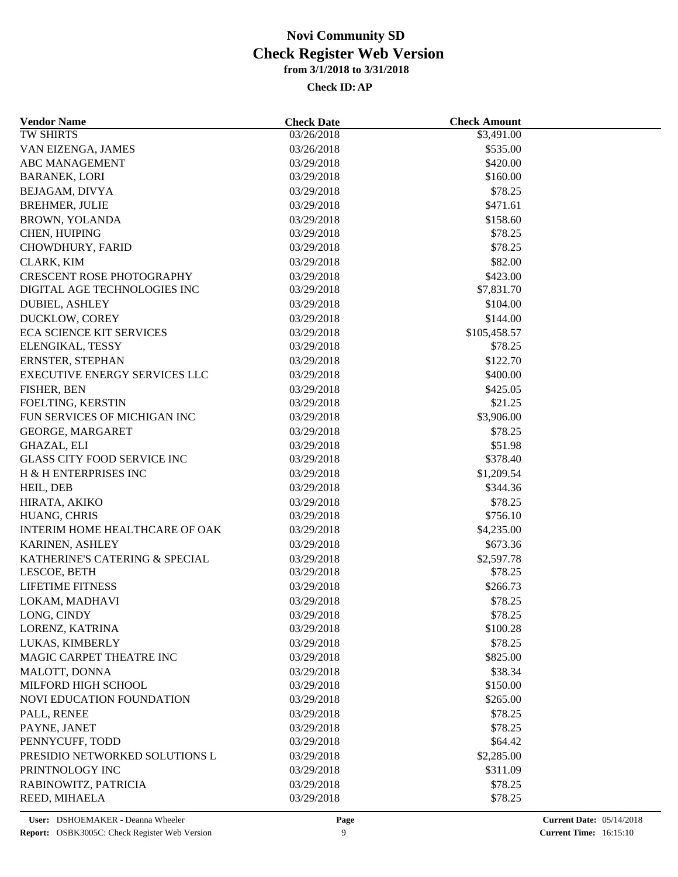| <b>Vendor Name</b>                   | <b>Check Date</b> | <b>Check Amount</b> |  |
|--------------------------------------|-------------------|---------------------|--|
| <b>TW SHIRTS</b>                     | 03/26/2018        | \$3,491.00          |  |
| VAN EIZENGA, JAMES                   | 03/26/2018        | \$535.00            |  |
| <b>ABC MANAGEMENT</b>                | 03/29/2018        | \$420.00            |  |
| <b>BARANEK, LORI</b>                 | 03/29/2018        | \$160.00            |  |
| BEJAGAM, DIVYA                       | 03/29/2018        | \$78.25             |  |
| <b>BREHMER, JULIE</b>                | 03/29/2018        | \$471.61            |  |
| <b>BROWN, YOLANDA</b>                | 03/29/2018        | \$158.60            |  |
| CHEN, HUIPING                        | 03/29/2018        | \$78.25             |  |
| CHOWDHURY, FARID                     | 03/29/2018        | \$78.25             |  |
| CLARK, KIM                           | 03/29/2018        | \$82.00             |  |
| <b>CRESCENT ROSE PHOTOGRAPHY</b>     | 03/29/2018        | \$423.00            |  |
| DIGITAL AGE TECHNOLOGIES INC         | 03/29/2018        | \$7,831.70          |  |
| <b>DUBIEL, ASHLEY</b>                | 03/29/2018        | \$104.00            |  |
| DUCKLOW, COREY                       | 03/29/2018        | \$144.00            |  |
| <b>ECA SCIENCE KIT SERVICES</b>      | 03/29/2018        | \$105,458.57        |  |
| ELENGIKAL, TESSY                     | 03/29/2018        | \$78.25             |  |
| ERNSTER, STEPHAN                     | 03/29/2018        | \$122.70            |  |
| <b>EXECUTIVE ENERGY SERVICES LLC</b> | 03/29/2018        | \$400.00            |  |
| FISHER, BEN                          | 03/29/2018        | \$425.05            |  |
| FOELTING, KERSTIN                    | 03/29/2018        | \$21.25             |  |
| FUN SERVICES OF MICHIGAN INC         | 03/29/2018        | \$3,906.00          |  |
| GEORGE, MARGARET                     | 03/29/2018        | \$78.25             |  |
| <b>GHAZAL, ELI</b>                   | 03/29/2018        | \$51.98             |  |
| <b>GLASS CITY FOOD SERVICE INC</b>   | 03/29/2018        | \$378.40            |  |
| H & H ENTERPRISES INC                | 03/29/2018        | \$1,209.54          |  |
| HEIL, DEB                            | 03/29/2018        | \$344.36            |  |
|                                      | 03/29/2018        | \$78.25             |  |
| HIRATA, AKIKO<br>HUANG, CHRIS        | 03/29/2018        | \$756.10            |  |
| INTERIM HOME HEALTHCARE OF OAK       | 03/29/2018        | \$4,235.00          |  |
|                                      |                   |                     |  |
| KARINEN, ASHLEY                      | 03/29/2018        | \$673.36            |  |
| KATHERINE'S CATERING & SPECIAL       | 03/29/2018        | \$2,597.78          |  |
| LESCOE, BETH                         | 03/29/2018        | \$78.25             |  |
| <b>LIFETIME FITNESS</b>              | 03/29/2018        | \$266.73            |  |
| LOKAM, MADHAVI                       | 03/29/2018        | \$78.25             |  |
| LONG, CINDY                          | 03/29/2018        | \$78.25             |  |
| LORENZ, KATRINA                      | 03/29/2018        | \$100.28            |  |
| LUKAS, KIMBERLY                      | 03/29/2018        | \$78.25             |  |
| MAGIC CARPET THEATRE INC             | 03/29/2018        | \$825.00            |  |
| MALOTT, DONNA                        | 03/29/2018        | \$38.34             |  |
| MILFORD HIGH SCHOOL                  | 03/29/2018        | \$150.00            |  |
| NOVI EDUCATION FOUNDATION            | 03/29/2018        | \$265.00            |  |
| PALL, RENEE                          | 03/29/2018        | \$78.25             |  |
| PAYNE, JANET                         | 03/29/2018        | \$78.25             |  |
| PENNYCUFF, TODD                      | 03/29/2018        | \$64.42             |  |
| PRESIDIO NETWORKED SOLUTIONS L       | 03/29/2018        | \$2,285.00          |  |
| PRINTNOLOGY INC                      | 03/29/2018        | \$311.09            |  |
| RABINOWITZ, PATRICIA                 | 03/29/2018        | \$78.25             |  |
| REED, MIHAELA                        | 03/29/2018        | \$78.25             |  |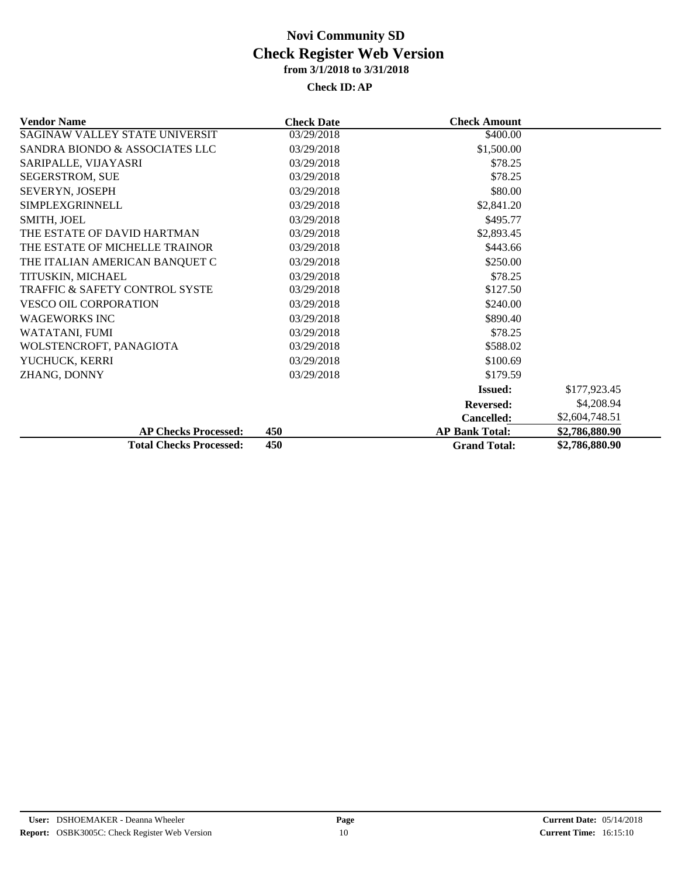| <b>Vendor Name</b>             | <b>Check Date</b> | <b>Check Amount</b>   |                |
|--------------------------------|-------------------|-----------------------|----------------|
| SAGINAW VALLEY STATE UNIVERSIT | 03/29/2018        | \$400.00              |                |
| SANDRA BIONDO & ASSOCIATES LLC | 03/29/2018        | \$1,500.00            |                |
| SARIPALLE, VIJAYASRI           | 03/29/2018        | \$78.25               |                |
| SEGERSTROM, SUE                | 03/29/2018        | \$78.25               |                |
| SEVERYN, JOSEPH                | 03/29/2018        | \$80.00               |                |
| <b>SIMPLEXGRINNELL</b>         | 03/29/2018        | \$2,841.20            |                |
| SMITH, JOEL                    | 03/29/2018        | \$495.77              |                |
| THE ESTATE OF DAVID HARTMAN    | 03/29/2018        | \$2,893.45            |                |
| THE ESTATE OF MICHELLE TRAINOR | 03/29/2018        | \$443.66              |                |
| THE ITALIAN AMERICAN BANQUET C | 03/29/2018        | \$250.00              |                |
| TITUSKIN, MICHAEL              | 03/29/2018        | \$78.25               |                |
| TRAFFIC & SAFETY CONTROL SYSTE | 03/29/2018        | \$127.50              |                |
| <b>VESCO OIL CORPORATION</b>   | 03/29/2018        | \$240.00              |                |
| <b>WAGEWORKS INC</b>           | 03/29/2018        | \$890.40              |                |
| WATATANI, FUMI                 | 03/29/2018        | \$78.25               |                |
| WOLSTENCROFT, PANAGIOTA        | 03/29/2018        | \$588.02              |                |
| YUCHUCK, KERRI                 | 03/29/2018        | \$100.69              |                |
| ZHANG, DONNY                   | 03/29/2018        | \$179.59              |                |
|                                |                   | <b>Issued:</b>        | \$177,923.45   |
|                                |                   | <b>Reversed:</b>      | \$4,208.94     |
|                                |                   | Cancelled:            | \$2,604,748.51 |
| <b>AP Checks Processed:</b>    | 450               | <b>AP Bank Total:</b> | \$2,786,880.90 |
| <b>Total Checks Processed:</b> | 450               | <b>Grand Total:</b>   | \$2,786,880.90 |